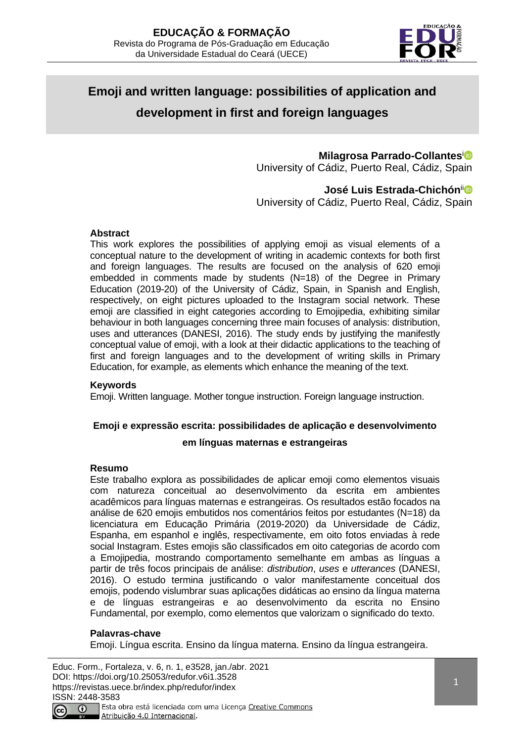

# **Emoji and written language: possibilities of application and development in first and foreign languages**

# **Milagrosa Parrado-Collantes**<sup>i</sup>

University of Cádiz, Puerto Real, Cádiz, Spain

# **José Luis Estrada-Chichón**ii

University of Cádiz, Puerto Real, Cádiz, Spain

#### **Abstract**

This work explores the possibilities of applying emoji as visual elements of a conceptual nature to the development of writing in academic contexts for both first and foreign languages. The results are focused on the analysis of 620 emoji embedded in comments made by students (N=18) of the Degree in Primary Education (2019-20) of the University of Cádiz, Spain, in Spanish and English, respectively, on eight pictures uploaded to the Instagram social network. These emoji are classified in eight categories according to Emojipedia, exhibiting similar behaviour in both languages concerning three main focuses of analysis: distribution, uses and utterances (DANESI, 2016). The study ends by justifying the manifestly conceptual value of emoji, with a look at their didactic applications to the teaching of first and foreign languages and to the development of writing skills in Primary Education, for example, as elements which enhance the meaning of the text.

#### **Keywords**

Emoji. Written language. Mother tongue instruction. Foreign language instruction.

#### **Emoji e expressão escrita: possibilidades de aplicação e desenvolvimento**

#### **em línguas maternas e estrangeiras**

#### **Resumo**

Este trabalho explora as possibilidades de aplicar emoji como elementos visuais com natureza conceitual ao desenvolvimento da escrita em ambientes acadêmicos para línguas maternas e estrangeiras. Os resultados estão focados na análise de 620 emojis embutidos nos comentários feitos por estudantes (N=18) da licenciatura em Educação Primária (2019-2020) da Universidade de Cádiz, Espanha, em espanhol e inglês, respectivamente, em oito fotos enviadas à rede social Instagram. Estes emojis são classificados em oito categorias de acordo com a Emojipedia, mostrando comportamento semelhante em ambas as línguas a partir de três focos principais de análise: *distribution*, *uses* e *utterances* (DANESI, 2016). O estudo termina justificando o valor manifestamente conceitual dos emojis, podendo vislumbrar suas aplicações didáticas ao ensino da língua materna e de línguas estrangeiras e ao desenvolvimento da escrita no Ensino Fundamental, por exemplo, como elementos que valorizam o significado do texto.

#### **Palavras-chave**

Emoji. Língua escrita. Ensino da língua materna. Ensino da língua estrangeira.

Educ. Form., Fortaleza, v. 6, n. 1, e3528, jan./abr. 2021 DOI: https://doi.org/10.25053/redufor.v6i1.3528 https://revistas.uece.br/index.php/redufor/index ISSN: 2448-3583 Esta obra está licenciada com uma Licença Creative Commons  $\odot$ Atribuição 4.0 Internacional.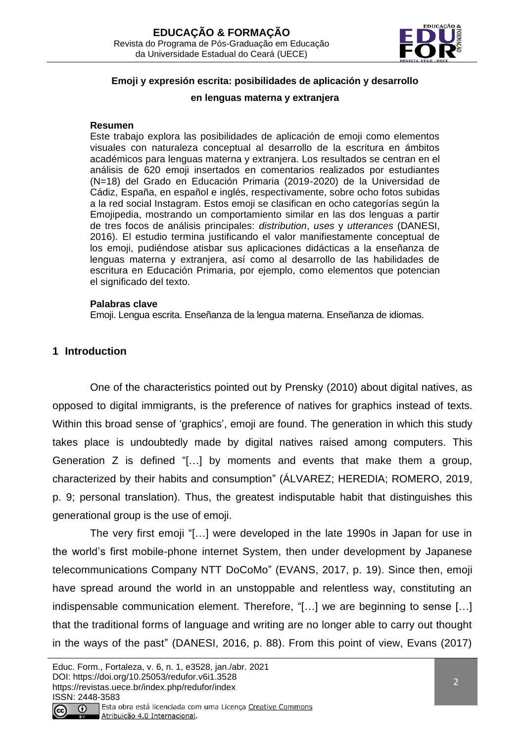

# **Emoji y expresión escrita: posibilidades de aplicación y desarrollo**

#### **en lenguas materna y extranjera**

#### **Resumen**

Este trabajo explora las posibilidades de aplicación de emoji como elementos visuales con naturaleza conceptual al desarrollo de la escritura en ámbitos académicos para lenguas materna y extranjera. Los resultados se centran en el análisis de 620 emoji insertados en comentarios realizados por estudiantes (N=18) del Grado en Educación Primaria (2019-2020) de la Universidad de Cádiz, España, en español e inglés, respectivamente, sobre ocho fotos subidas a la red social Instagram. Estos emoji se clasifican en ocho categorías según la Emojipedia, mostrando un comportamiento similar en las dos lenguas a partir de tres focos de análisis principales: *distribution*, *uses* y *utterances* (DANESI, 2016). El estudio termina justificando el valor manifiestamente conceptual de los emoji, pudiéndose atisbar sus aplicaciones didácticas a la enseñanza de lenguas materna y extranjera, así como al desarrollo de las habilidades de escritura en Educación Primaria, por ejemplo, como elementos que potencian el significado del texto.

#### **Palabras clave**

Emoji. Lengua escrita. Enseñanza de la lengua materna. Enseñanza de idiomas.

# **1 Introduction**

One of the characteristics pointed out by Prensky (2010) about digital natives, as opposed to digital immigrants, is the preference of natives for graphics instead of texts. Within this broad sense of 'graphics', emoji are found. The generation in which this study takes place is undoubtedly made by digital natives raised among computers. This Generation Z is defined "[…] by moments and events that make them a group, characterized by their habits and consumption" (ÁLVAREZ; HEREDIA; ROMERO, 2019, p. 9; personal translation). Thus, the greatest indisputable habit that distinguishes this generational group is the use of emoji.

The very first emoji "[…] were developed in the late 1990s in Japan for use in the world's first mobile-phone internet System, then under development by Japanese telecommunications Company NTT DoCoMo" (EVANS, 2017, p. 19). Since then, emoji have spread around the world in an unstoppable and relentless way, constituting an indispensable communication element. Therefore, "[…] we are beginning to sense […] that the traditional forms of language and writing are no longer able to carry out thought in the ways of the past" (DANESI, 2016, p. 88). From this point of view, Evans (2017)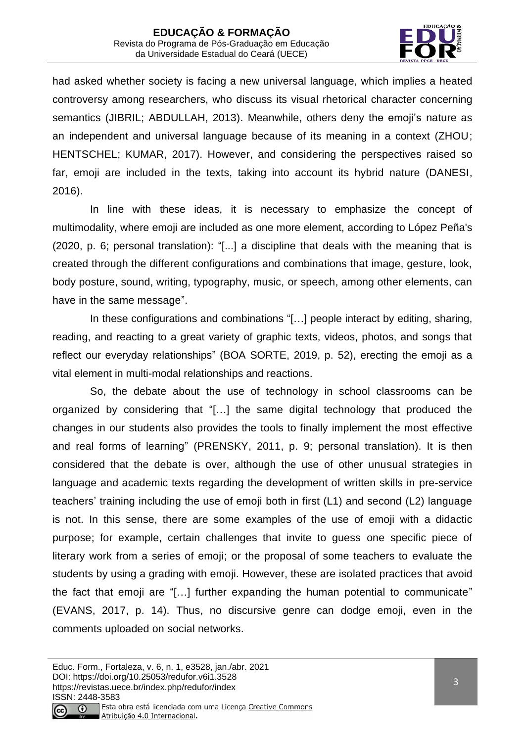

had asked whether society is facing a new universal language, which implies a heated controversy among researchers, who discuss its visual rhetorical character concerning semantics (JIBRIL; ABDULLAH, 2013). Meanwhile, others deny the emoji's nature as an independent and universal language because of its meaning in a context (ZHOU; HENTSCHEL; KUMAR, 2017). However, and considering the perspectives raised so far, emoji are included in the texts, taking into account its hybrid nature (DANESI, 2016).

In line with these ideas, it is necessary to emphasize the concept of multimodality, where emoji are included as one more element, according to López Peña's (2020, p. 6; personal translation): "[...] a discipline that deals with the meaning that is created through the different configurations and combinations that image, gesture, look, body posture, sound, writing, typography, music, or speech, among other elements, can have in the same message".

In these configurations and combinations "[…] people interact by editing, sharing, reading, and reacting to a great variety of graphic texts, videos, photos, and songs that reflect our everyday relationships" (BOA SORTE, 2019, p. 52), erecting the emoji as a vital element in multi-modal relationships and reactions.

So, the debate about the use of technology in school classrooms can be organized by considering that "[…] the same digital technology that produced the changes in our students also provides the tools to finally implement the most effective and real forms of learning" (PRENSKY, 2011, p. 9; personal translation). It is then considered that the debate is over, although the use of other unusual strategies in language and academic texts regarding the development of written skills in pre-service teachers' training including the use of emoji both in first (L1) and second (L2) language is not. In this sense, there are some examples of the use of emoji with a didactic purpose; for example, certain challenges that invite to guess one specific piece of literary work from a series of emoji; or the proposal of some teachers to evaluate the students by using a grading with emoji. However, these are isolated practices that avoid the fact that emoji are "[…] further expanding the human potential to communicate" (EVANS, 2017, p. 14). Thus, no discursive genre can dodge emoji, even in the comments uploaded on social networks.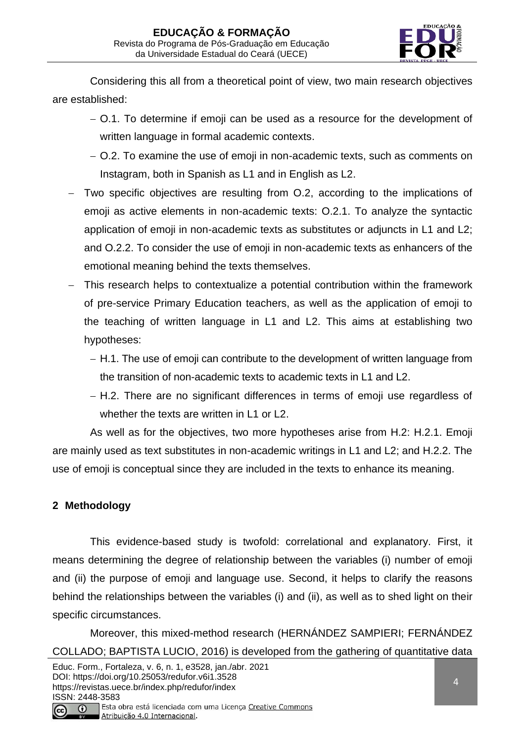

Considering this all from a theoretical point of view, two main research objectives are established:

- − O.1. To determine if emoji can be used as a resource for the development of written language in formal academic contexts.
- − O.2. To examine the use of emoji in non-academic texts, such as comments on Instagram, both in Spanish as L1 and in English as L2.
- Two specific objectives are resulting from O.2, according to the implications of emoji as active elements in non-academic texts: O.2.1. To analyze the syntactic application of emoji in non-academic texts as substitutes or adjuncts in L1 and L2; and O.2.2. To consider the use of emoji in non-academic texts as enhancers of the emotional meaning behind the texts themselves.
- This research helps to contextualize a potential contribution within the framework of pre-service Primary Education teachers, as well as the application of emoji to the teaching of written language in L1 and L2. This aims at establishing two hypotheses:
	- − H.1. The use of emoji can contribute to the development of written language from the transition of non-academic texts to academic texts in L1 and L2.
	- − H.2. There are no significant differences in terms of emoji use regardless of whether the texts are written in L1 or L2.

As well as for the objectives, two more hypotheses arise from H.2: H.2.1. Emoji are mainly used as text substitutes in non-academic writings in L1 and L2; and H.2.2. The use of emoji is conceptual since they are included in the texts to enhance its meaning.

# **2 Methodology**

This evidence-based study is twofold: correlational and explanatory. First, it means determining the degree of relationship between the variables (i) number of emoji and (ii) the purpose of emoji and language use. Second, it helps to clarify the reasons behind the relationships between the variables (i) and (ii), as well as to shed light on their specific circumstances.

Moreover, this mixed-method research (HERNÁNDEZ SAMPIERI; FERNÁNDEZ COLLADO; BAPTISTA LUCIO, 2016) is developed from the gathering of quantitative data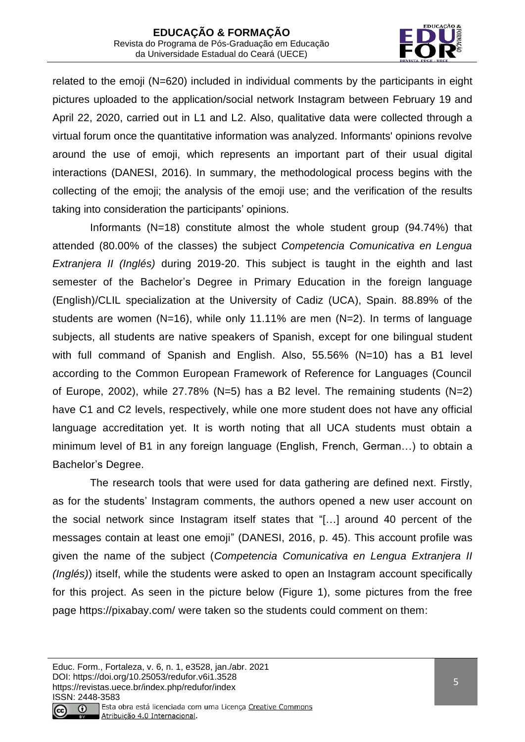

related to the emoji (N=620) included in individual comments by the participants in eight pictures uploaded to the application/social network Instagram between February 19 and April 22, 2020, carried out in L1 and L2. Also, qualitative data were collected through a virtual forum once the quantitative information was analyzed. Informants' opinions revolve around the use of emoji, which represents an important part of their usual digital interactions (DANESI, 2016). In summary, the methodological process begins with the collecting of the emoji; the analysis of the emoji use; and the verification of the results taking into consideration the participants' opinions.

Informants (N=18) constitute almost the whole student group (94.74%) that attended (80.00% of the classes) the subject *Competencia Comunicativa en Lengua Extranjera II (Inglés)* during 2019-20. This subject is taught in the eighth and last semester of the Bachelor's Degree in Primary Education in the foreign language (English)/CLIL specialization at the University of Cadiz (UCA), Spain. 88.89% of the students are women  $(N=16)$ , while only 11.11% are men  $(N=2)$ . In terms of language subjects, all students are native speakers of Spanish, except for one bilingual student with full command of Spanish and English. Also, 55.56% (N=10) has a B1 level according to the Common European Framework of Reference for Languages (Council of Europe, 2002), while 27.78% (N=5) has a B2 level. The remaining students (N=2) have C1 and C2 levels, respectively, while one more student does not have any official language accreditation yet. It is worth noting that all UCA students must obtain a minimum level of B1 in any foreign language (English, French, German…) to obtain a Bachelor's Degree.

The research tools that were used for data gathering are defined next. Firstly, as for the students' Instagram comments, the authors opened a new user account on the social network since Instagram itself states that "[…] around 40 percent of the messages contain at least one emoji" (DANESI, 2016, p. 45). This account profile was given the name of the subject (*Competencia Comunicativa en Lengua Extranjera II (Inglés)*) itself, while the students were asked to open an Instagram account specifically for this project. As seen in the picture below (Figure 1), some pictures from the free page<https://pixabay.com/> were taken so the students could comment on them: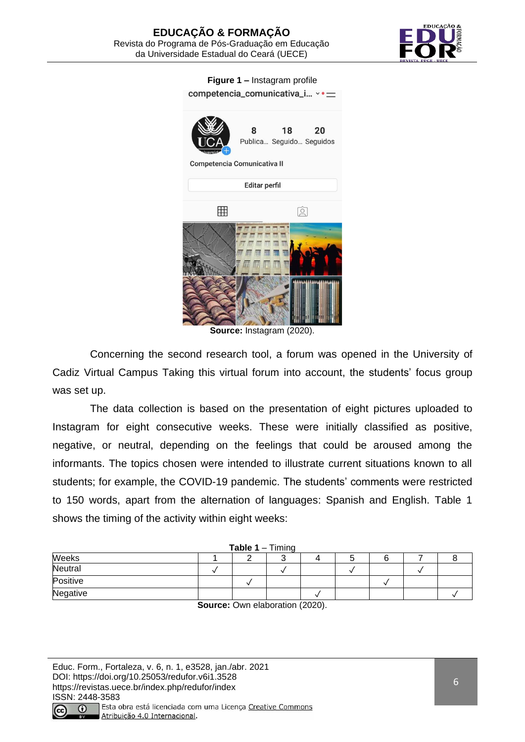

**Figure 1** *–* Instagram profile



**Source:** Instagram (2020).

Concerning the second research tool, a forum was opened in the University of Cadiz Virtual Campus Taking this virtual forum into account, the students' focus group was set up.

The data collection is based on the presentation of eight pictures uploaded to Instagram for eight consecutive weeks. These were initially classified as positive, negative, or neutral, depending on the feelings that could be aroused among the informants. The topics chosen were intended to illustrate current situations known to all students; for example, the COVID-19 pandemic. The students' comments were restricted to 150 words, apart from the alternation of languages: Spanish and English. Table 1 shows the timing of the activity within eight weeks:

| <b>Table 1</b> – Timing |  |  |  |  |  |  |  |
|-------------------------|--|--|--|--|--|--|--|
| Weeks                   |  |  |  |  |  |  |  |
| Neutral                 |  |  |  |  |  |  |  |
| Positive                |  |  |  |  |  |  |  |
| Negative                |  |  |  |  |  |  |  |
|                         |  |  |  |  |  |  |  |

**Source:** Own elaboration (2020).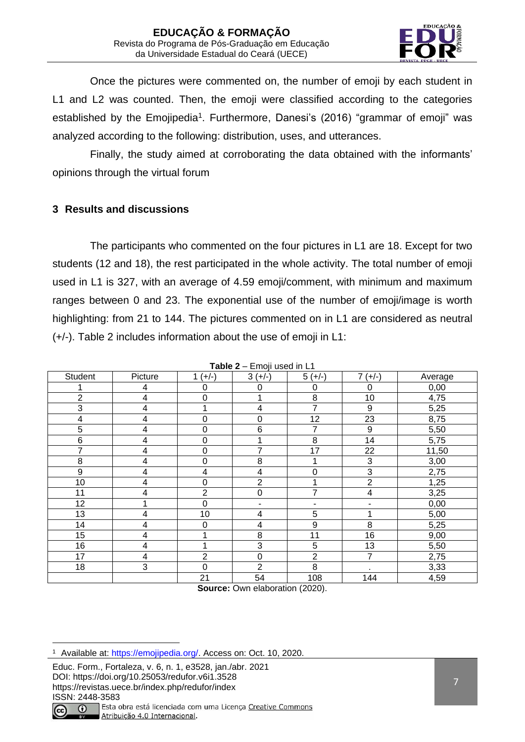

Once the pictures were commented on, the number of emoji by each student in L1 and L2 was counted. Then, the emoji were classified according to the categories established by the Emojipedia<sup>1</sup>. Furthermore, Danesi's (2016) "grammar of emoji" was analyzed according to the following: distribution, uses, and utterances.

Finally, the study aimed at corroborating the data obtained with the informants' opinions through the virtual forum

# **3 Results and discussions**

The participants who commented on the four pictures in L1 are 18. Except for two students (12 and 18), the rest participated in the whole activity. The total number of emoji used in L1 is 327, with an average of 4.59 emoji/comment, with minimum and maximum ranges between 0 and 23. The exponential use of the number of emoji/image is worth highlighting: from 21 to 144. The pictures commented on in L1 are considered as neutral (+/-). Table 2 includes information about the use of emoji in L1:

|                         |                         |                  | Table 2 - Emoji used in L1 |                          |                |         |
|-------------------------|-------------------------|------------------|----------------------------|--------------------------|----------------|---------|
| <b>Student</b>          | Picture                 | $1 (+/-)$        | $3 (+/-)$                  | $5 (+/-)$                | $7 (+/-)$      | Average |
|                         | 4                       | 0                | 0                          | 0                        | 0              | 0,00    |
| $\overline{2}$          | $\overline{\mathbf{4}}$ | 0                |                            | 8                        | 10             | 4,75    |
| 3                       | $\overline{\mathbf{4}}$ |                  | 4                          | 7                        | 9              | 5,25    |
| $\overline{\mathbf{4}}$ | $\overline{\mathbf{4}}$ | 0                | $\mathbf 0$                | 12                       | 23             | 8,75    |
| 5                       | $\overline{\mathbf{4}}$ | 0                | $6\phantom{1}6$            | 7                        | 9              | 5,50    |
| $6\phantom{1}6$         | $\overline{\mathbf{4}}$ | 0                |                            | 8                        | 14             | 5,75    |
| 7                       | $\overline{\mathbf{4}}$ | $\boldsymbol{0}$ | 7                          | 17                       | 22             | 11,50   |
| 8                       | $\overline{\mathbf{4}}$ | $\boldsymbol{0}$ | 8                          |                          | 3              | 3,00    |
| 9                       | $\overline{\mathbf{4}}$ | 4                | 4                          | $\mathbf 0$              | 3              | 2,75    |
| 10                      | 4                       | 0                | $\overline{2}$             | 1                        | $\overline{2}$ | 1,25    |
| 11                      | $\overline{\mathbf{4}}$ | 2                | $\boldsymbol{0}$           | 7                        | 4              | 3,25    |
| 12                      |                         | $\mathbf 0$      | -                          | $\overline{\phantom{a}}$ | -              | 0,00    |
| 13                      | $\overline{\mathbf{4}}$ | 10               | 4                          | 5                        |                | 5,00    |
| 14                      | $\overline{\mathbf{4}}$ | 0                | 4                          | 9                        | 8              | 5,25    |
| 15                      | 4                       |                  | 8                          | 11                       | 16             | 9,00    |
| 16                      | $\overline{\mathbf{4}}$ |                  | 3                          | 5                        | 13             | 5,50    |
| 17                      | 4                       | $\overline{2}$   | $\boldsymbol{0}$           | $\overline{2}$           | $\overline{7}$ | 2,75    |
| 18                      | 3                       | 0                | $\overline{2}$             | 8                        | $\bullet$      | 3,33    |
|                         |                         | 21               | 54                         | 108                      | 144            | 4,59    |

**Source:** Own elaboration (2020).

Educ. Form., Fortaleza, v. 6, n. 1, e3528, jan./abr. 2021 DOI: https://doi.org/10.25053/redufor.v6i1.3528 https://revistas.uece.br/index.php/redufor/index ISSN: 2448-3583



<sup>1</sup> Available at: [https://emojipedia.org/.](https://emojipedia.org/) Access on: Oct. 10, 2020.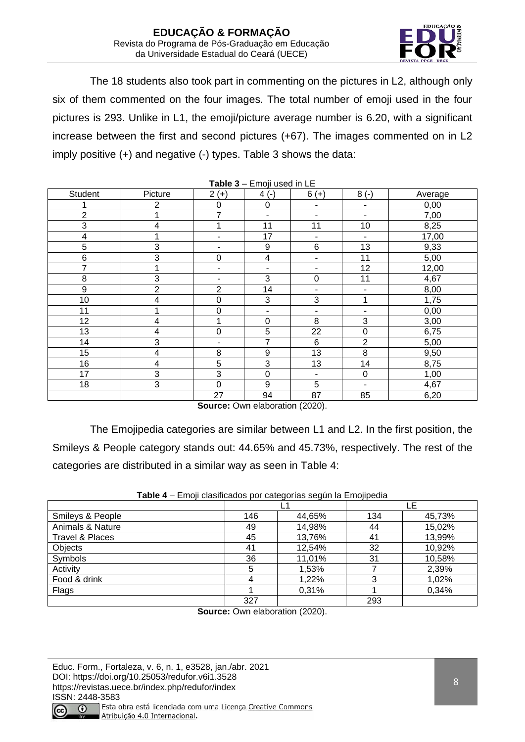

The 18 students also took part in commenting on the pictures in L2, although only six of them commented on the four images. The total number of emoji used in the four pictures is 293. Unlike in L1, the emoji/picture average number is 6.20, with a significant increase between the first and second pictures (+67). The images commented on in L2 imply positive (+) and negative (-) types. Table 3 shows the data:

|                  |                         |                              | <b>Table <math>3 -</math></b> Ellioji used III LE |                          |                          |         |
|------------------|-------------------------|------------------------------|---------------------------------------------------|--------------------------|--------------------------|---------|
| Student          | Picture                 | $2 (+)$                      | $4(-)$                                            | $6 (+)$                  | $8(-)$                   | Average |
|                  | $\overline{2}$          | $\mathbf 0$                  | $\boldsymbol{0}$                                  | ٠                        | $\blacksquare$           | 0,00    |
| $\overline{2}$   |                         | 7                            | $\blacksquare$                                    | $\blacksquare$           | $\blacksquare$           | 7,00    |
| $\overline{3}$   | $\overline{4}$          | 1                            | 11                                                | 11                       | 10                       | 8,25    |
| 4                |                         |                              | 17                                                | $\overline{\phantom{a}}$ | $\blacksquare$           | 17,00   |
| 5                | 3                       | -                            | $\boldsymbol{9}$                                  | $\,6$                    | 13                       | 9,33    |
| 6                | 3                       | $\mathbf 0$                  | $\overline{\mathbf{4}}$                           | $\overline{\phantom{a}}$ | 11                       | 5,00    |
| $\overline{7}$   | 1                       | $\qquad \qquad \blacksquare$ | ۰                                                 | ٠                        | 12                       | 12,00   |
| 8                | 3                       | $\qquad \qquad \blacksquare$ | 3                                                 | $\mathbf 0$              | 11                       | 4,67    |
| $\boldsymbol{9}$ | $\overline{2}$          | 2                            | 14                                                | ٠                        | $\overline{\phantom{a}}$ | 8,00    |
| 10               | $\overline{\mathbf{4}}$ | $\boldsymbol{0}$             | 3                                                 | 3                        | 1                        | 1,75    |
| 11               | 1                       | $\mathbf 0$                  | ۰                                                 | ٠                        | $\blacksquare$           | 0,00    |
| 12               | $\overline{\mathbf{4}}$ | 1                            | $\boldsymbol{0}$                                  | 8                        | $\mathbf{3}$             | 3,00    |
| 13               | $\overline{\mathbf{4}}$ | 0                            | 5                                                 | 22                       | 0                        | 6,75    |
| 14               | 3                       | $\overline{a}$               | $\overline{7}$                                    | 6                        | $\overline{2}$           | 5,00    |
| 15               | $\overline{\mathbf{4}}$ | 8                            | 9                                                 | 13                       | 8                        | 9,50    |
| 16               | $\overline{4}$          | 5                            | 3                                                 | 13                       | 14                       | 8,75    |
| 17               | 3                       | $\mathbf{3}$                 | $\boldsymbol{0}$                                  | ٠                        | $\mathbf 0$              | 1,00    |
| 18               | 3                       | $\boldsymbol{0}$             | $\boldsymbol{9}$                                  | 5                        | $\blacksquare$           | 4,67    |
|                  |                         | 27                           | 94                                                | 87                       | 85                       | 6,20    |
|                  |                         |                              |                                                   |                          |                          |         |

**Table 3** – Emoji used in LE

**Source:** Own elaboration (2020).

The Emojipedia categories are similar between L1 and L2. In the first position, the Smileys & People category stands out: 44.65% and 45.73%, respectively. The rest of the categories are distributed in a similar way as seen in Table 4:

|                  |     |        |     | LE     |
|------------------|-----|--------|-----|--------|
| Smileys & People | 146 | 44,65% | 134 | 45,73% |
| Animals & Nature | 49  | 14,98% | 44  | 15,02% |
| Travel & Places  | 45  | 13,76% | 41  | 13,99% |
| Objects          | 41  | 12,54% | 32  | 10,92% |
| Symbols          | 36  | 11,01% | 31  | 10,58% |
| Activity         | 5   | 1,53%  |     | 2,39%  |
| Food & drink     |     | 1,22%  | 3   | 1,02%  |
| Flags            |     | 0,31%  |     | 0,34%  |
|                  | 327 |        | 293 |        |

| Table 4 - Emoji clasificados por categorías según la Emojipedia |
|-----------------------------------------------------------------|
|-----------------------------------------------------------------|

**Source:** Own elaboration (2020).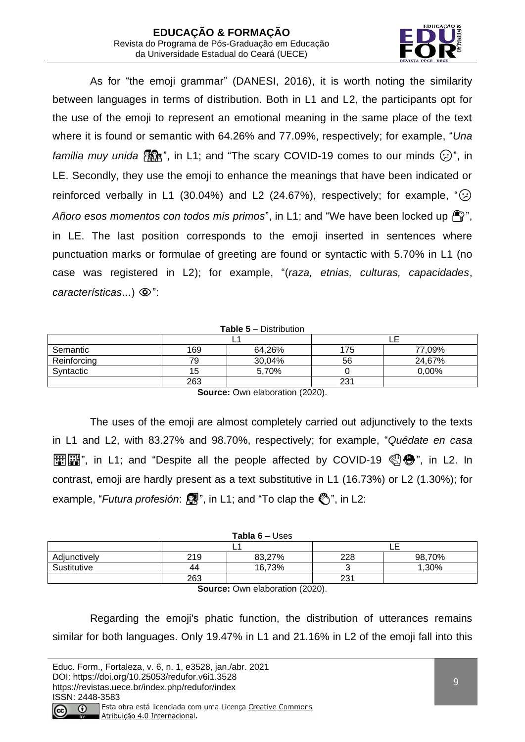

As for "the emoji grammar" (DANESI, 2016), it is worth noting the similarity between languages in terms of distribution. Both in L1 and L2, the participants opt for the use of the emoji to represent an emotional meaning in the same place of the text where it is found or semantic with 64.26% and 77.09%, respectively; for example, "*Una familia muy unida*  $\mathbb{R}$ , in L1; and "The scary COVID-19 comes to our minds  $\odot$ ", in LE. Secondly, they use the emoji to enhance the meanings that have been indicated or reinforced verbally in L1 (30.04%) and L2 (24.67%), respectively; for example,  $\lq(\cdot)$ Añoro esos momentos con todos mis primos", in L1; and "We have been locked up  $\bigcap_{i=1}^{\infty}$ ", in LE. The last position corresponds to the emoji inserted in sentences where punctuation marks or formulae of greeting are found or syntactic with 5.70% in L1 (no case was registered in L2); for example, "(*raza, etnias, culturas, capacidades*, *características...*)  $\circledcirc$ ":

#### **Table 5** – Distribution

|             |     | -      |     | -      |
|-------------|-----|--------|-----|--------|
| Semantic    | 169 | 64,26% | 175 | 77,09% |
| Reinforcing | 79  | 30,04% | 56  | 24,67% |
| Syntactic   | 15  | 5,70%  |     | 0,00%  |
|             | 263 |        | 231 |        |

**Source:** Own elaboration (2020).

The uses of the emoji are almost completely carried out adjunctively to the texts in L1 and L2, with 83.27% and 98.70%, respectively; for example, "*Quédate en casa* **HE EE**", in L1; and "Despite all the people affected by COVID-19  $\mathcal{O}(\mathbf{e})$ ", in L2. In contrast, emoji are hardly present as a text substitutive in L1 (16.73%) or L2 (1.30%); for example, "*Futura profesión*:  $\mathbb{R}$ ", in L1; and "To clap the  $\mathbb{C}$ ", in L2:

|              |     | <b>Tabla 6 – Uses</b> |     |        |
|--------------|-----|-----------------------|-----|--------|
|              |     |                       |     |        |
| Adjunctively | 219 | 83,27%                | 228 | 98,70% |
| Sustitutive  | 44  | 16,73%                |     | ,30%   |
|              | 263 |                       | 231 |        |

**Source:** Own elaboration (2020).

Regarding the emoji's phatic function, the distribution of utterances remains similar for both languages. Only 19.47% in L1 and 21.16% in L2 of the emoji fall into this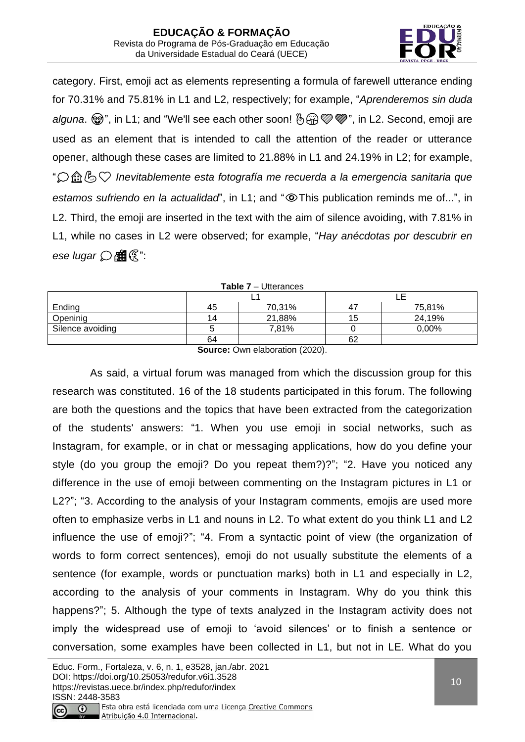

category. First, emoji act as elements representing a formula of farewell utterance ending for 70.31% and 75.81% in L1 and L2, respectively; for example, "*Aprenderemos sin duda*  alguna.  $\mathcal{D}$ ", in L1; and "We'll see each other soon!  $\mathcal{B} \oplus \mathcal{D} \mathcal{D}$ ", in L2. Second, emoji are used as an element that is intended to call the attention of the reader or utterance opener, although these cases are limited to 21.88% in L1 and 24.19% in L2; for example, "❤️ *Inevitablemente esta fotografía me recuerda a la emergencia sanitaria que*  estamos sufriendo en la actualidad", in L1; and "<sup>®</sup>This publication reminds me of...", in L2. Third, the emoji are inserted in the text with the aim of silence avoiding, with 7.81% in L1, while no cases in L2 were observed; for example, "*Hay anécdotas por descubrir en*   $e$ se *lugar*  $\bigcirc$  **fff**  $\mathbb{R}^n$ :

| <b>Table 7</b> – Utterances |    |        |     |        |  |
|-----------------------------|----|--------|-----|--------|--|
|                             |    |        |     |        |  |
| Ending                      | 45 | 70,31% | 4   | 75,81% |  |
| Openinig                    | 14 | 21,88% | l b | 24,19% |  |
| Silence avoiding            |    | 7,81%  |     | 0,00%  |  |
|                             | 64 |        | 62  |        |  |

**Table 7** – Utterances

**Source:** Own elaboration (2020).

As said, a virtual forum was managed from which the discussion group for this research was constituted. 16 of the 18 students participated in this forum. The following are both the questions and the topics that have been extracted from the categorization of the students' answers: "1. When you use emoji in social networks, such as Instagram, for example, or in chat or messaging applications, how do you define your style (do you group the emoji? Do you repeat them?)?"; "2. Have you noticed any difference in the use of emoji between commenting on the Instagram pictures in L1 or L2?"; "3. According to the analysis of your Instagram comments, emojis are used more often to emphasize verbs in L1 and nouns in L2. To what extent do you think L1 and L2 influence the use of emoji?"; "4. From a syntactic point of view (the organization of words to form correct sentences), emoji do not usually substitute the elements of a sentence (for example, words or punctuation marks) both in L1 and especially in L2, according to the analysis of your comments in Instagram. Why do you think this happens?"; 5. Although the type of texts analyzed in the Instagram activity does not imply the widespread use of emoji to 'avoid silences' or to finish a sentence or conversation, some examples have been collected in L1, but not in LE. What do you

Atribuição 4.0 Internacional.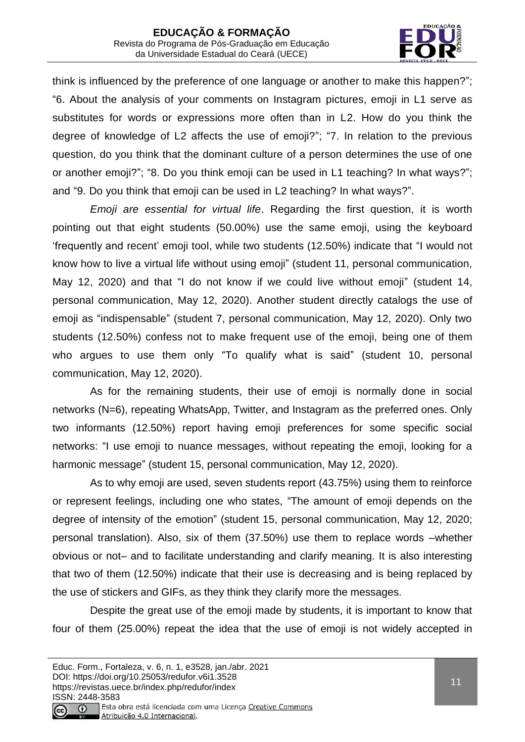

think is influenced by the preference of one language or another to make this happen?"; "6. About the analysis of your comments on Instagram pictures, emoji in L1 serve as substitutes for words or expressions more often than in L2. How do you think the degree of knowledge of L2 affects the use of emoji?"; "7. In relation to the previous question, do you think that the dominant culture of a person determines the use of one or another emoji?"; "8. Do you think emoji can be used in L1 teaching? In what ways?"; and "9. Do you think that emoji can be used in L2 teaching? In what ways?".

*Emoji are essential for virtual life*. Regarding the first question, it is worth pointing out that eight students (50.00%) use the same emoji, using the keyboard 'frequently and recent' emoji tool, while two students (12.50%) indicate that "I would not know how to live a virtual life without using emoji" (student 11, personal communication, May 12, 2020) and that "I do not know if we could live without emoji" (student 14, personal communication, May 12, 2020). Another student directly catalogs the use of emoji as "indispensable" (student 7, personal communication, May 12, 2020). Only two students (12.50%) confess not to make frequent use of the emoji, being one of them who argues to use them only "To qualify what is said" (student 10, personal communication, May 12, 2020).

As for the remaining students, their use of emoji is normally done in social networks (N=6), repeating WhatsApp, Twitter, and Instagram as the preferred ones. Only two informants (12.50%) report having emoji preferences for some specific social networks: "I use emoji to nuance messages, without repeating the emoji, looking for a harmonic message" (student 15, personal communication, May 12, 2020).

As to why emoji are used, seven students report (43.75%) using them to reinforce or represent feelings, including one who states, "The amount of emoji depends on the degree of intensity of the emotion" (student 15, personal communication, May 12, 2020; personal translation). Also, six of them (37.50%) use them to replace words –whether obvious or not– and to facilitate understanding and clarify meaning. It is also interesting that two of them (12.50%) indicate that their use is decreasing and is being replaced by the use of stickers and GIFs, as they think they clarify more the messages.

Despite the great use of the emoji made by students, it is important to know that four of them (25.00%) repeat the idea that the use of emoji is not widely accepted in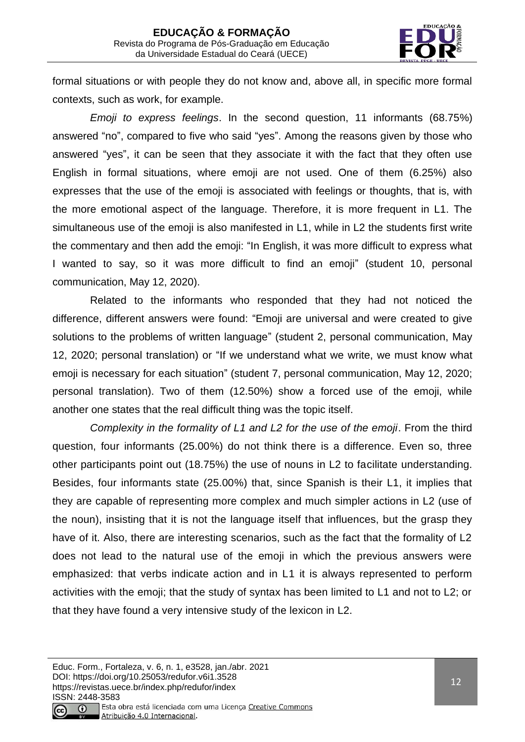

formal situations or with people they do not know and, above all, in specific more formal contexts, such as work, for example.

*Emoji to express feelings*. In the second question, 11 informants (68.75%) answered "no", compared to five who said "yes". Among the reasons given by those who answered "yes", it can be seen that they associate it with the fact that they often use English in formal situations, where emoji are not used. One of them (6.25%) also expresses that the use of the emoji is associated with feelings or thoughts, that is, with the more emotional aspect of the language. Therefore, it is more frequent in L1. The simultaneous use of the emoji is also manifested in L1, while in L2 the students first write the commentary and then add the emoji: "In English, it was more difficult to express what I wanted to say, so it was more difficult to find an emoji" (student 10, personal communication, May 12, 2020).

Related to the informants who responded that they had not noticed the difference, different answers were found: "Emoji are universal and were created to give solutions to the problems of written language" (student 2, personal communication, May 12, 2020; personal translation) or "If we understand what we write, we must know what emoji is necessary for each situation" (student 7, personal communication, May 12, 2020; personal translation). Two of them (12.50%) show a forced use of the emoji, while another one states that the real difficult thing was the topic itself.

*Complexity in the formality of L1 and L2 for the use of the emoji*. From the third question, four informants (25.00%) do not think there is a difference. Even so, three other participants point out (18.75%) the use of nouns in L2 to facilitate understanding. Besides, four informants state (25.00%) that, since Spanish is their L1, it implies that they are capable of representing more complex and much simpler actions in L2 (use of the noun), insisting that it is not the language itself that influences, but the grasp they have of it. Also, there are interesting scenarios, such as the fact that the formality of L2 does not lead to the natural use of the emoji in which the previous answers were emphasized: that verbs indicate action and in L1 it is always represented to perform activities with the emoji; that the study of syntax has been limited to L1 and not to L2; or that they have found a very intensive study of the lexicon in L2.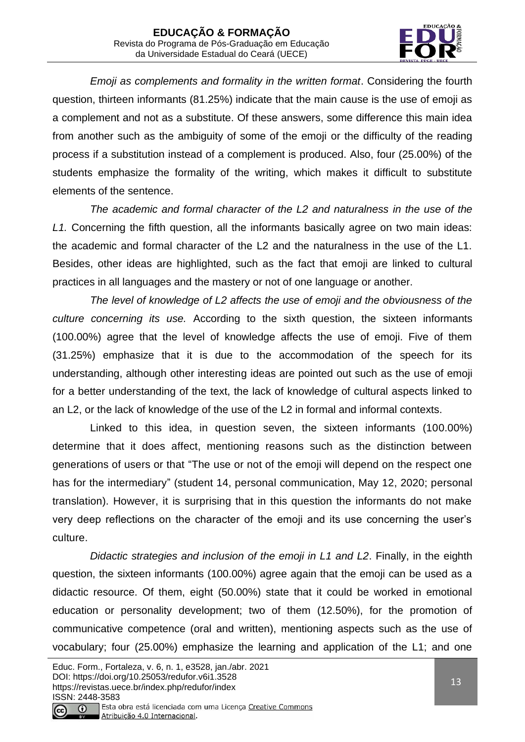

*Emoji as complements and formality in the written format*. Considering the fourth question, thirteen informants (81.25%) indicate that the main cause is the use of emoji as a complement and not as a substitute. Of these answers, some difference this main idea from another such as the ambiguity of some of the emoji or the difficulty of the reading process if a substitution instead of a complement is produced. Also, four (25.00%) of the students emphasize the formality of the writing, which makes it difficult to substitute elements of the sentence.

*The academic and formal character of the L2 and naturalness in the use of the L1.* Concerning the fifth question, all the informants basically agree on two main ideas: the academic and formal character of the L2 and the naturalness in the use of the L1. Besides, other ideas are highlighted, such as the fact that emoji are linked to cultural practices in all languages and the mastery or not of one language or another.

*The level of knowledge of L2 affects the use of emoji and the obviousness of the culture concerning its use.* According to the sixth question, the sixteen informants (100.00%) agree that the level of knowledge affects the use of emoji. Five of them (31.25%) emphasize that it is due to the accommodation of the speech for its understanding, although other interesting ideas are pointed out such as the use of emoji for a better understanding of the text, the lack of knowledge of cultural aspects linked to an L2, or the lack of knowledge of the use of the L2 in formal and informal contexts.

Linked to this idea, in question seven, the sixteen informants (100.00%) determine that it does affect, mentioning reasons such as the distinction between generations of users or that "The use or not of the emoji will depend on the respect one has for the intermediary" (student 14, personal communication, May 12, 2020; personal translation). However, it is surprising that in this question the informants do not make very deep reflections on the character of the emoji and its use concerning the user's culture.

*Didactic strategies and inclusion of the emoji in L1 and L2*. Finally, in the eighth question, the sixteen informants (100.00%) agree again that the emoji can be used as a didactic resource. Of them, eight (50.00%) state that it could be worked in emotional education or personality development; two of them (12.50%), for the promotion of communicative competence (oral and written), mentioning aspects such as the use of vocabulary; four (25.00%) emphasize the learning and application of the L1; and one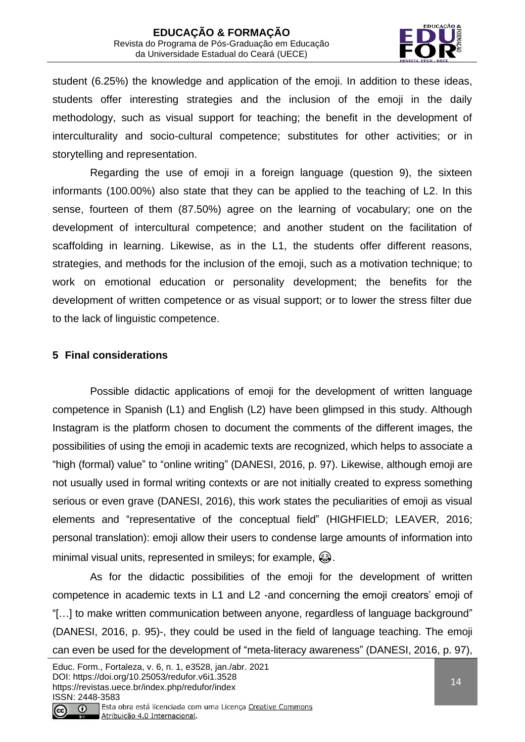

student (6.25%) the knowledge and application of the emoji. In addition to these ideas, students offer interesting strategies and the inclusion of the emoji in the daily methodology, such as visual support for teaching; the benefit in the development of interculturality and socio-cultural competence; substitutes for other activities; or in storytelling and representation.

Regarding the use of emoji in a foreign language (question 9), the sixteen informants (100.00%) also state that they can be applied to the teaching of L2. In this sense, fourteen of them (87.50%) agree on the learning of vocabulary; one on the development of intercultural competence; and another student on the facilitation of scaffolding in learning. Likewise, as in the L1, the students offer different reasons, strategies, and methods for the inclusion of the emoji, such as a motivation technique; to work on emotional education or personality development; the benefits for the development of written competence or as visual support; or to lower the stress filter due to the lack of linguistic competence.

# **5 Final considerations**

Possible didactic applications of emoji for the development of written language competence in Spanish (L1) and English (L2) have been glimpsed in this study. Although Instagram is the platform chosen to document the comments of the different images, the possibilities of using the emoji in academic texts are recognized, which helps to associate a "high (formal) value" to "online writing" (DANESI, 2016, p. 97). Likewise, although emoji are not usually used in formal writing contexts or are not initially created to express something serious or even grave (DANESI, 2016), this work states the peculiarities of emoji as visual elements and "representative of the conceptual field" (HIGHFIELD; LEAVER, 2016; personal translation): emoji allow their users to condense large amounts of information into minimal visual units, represented in smileys; for example,  $\bigcirc$ .

As for the didactic possibilities of the emoji for the development of written competence in academic texts in L1 and L2 -and concerning the emoji creators' emoji of "[…] to make written communication between anyone, regardless of language background" (DANESI, 2016, p. 95)-, they could be used in the field of language teaching. The emoji can even be used for the development of "meta-literacy awareness" (DANESI, 2016, p. 97),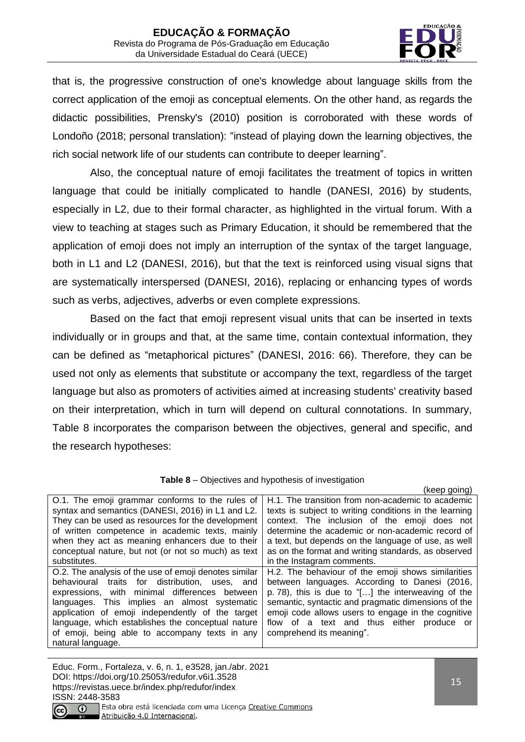

that is, the progressive construction of one's knowledge about language skills from the correct application of the emoji as conceptual elements. On the other hand, as regards the didactic possibilities, Prensky's (2010) position is corroborated with these words of Londoño (2018; personal translation): "instead of playing down the learning objectives, the rich social network life of our students can contribute to deeper learning".

Also, the conceptual nature of emoji facilitates the treatment of topics in written language that could be initially complicated to handle (DANESI, 2016) by students, especially in L2, due to their formal character, as highlighted in the virtual forum. With a view to teaching at stages such as Primary Education, it should be remembered that the application of emoji does not imply an interruption of the syntax of the target language, both in L1 and L2 (DANESI, 2016), but that the text is reinforced using visual signs that are systematically interspersed (DANESI, 2016), replacing or enhancing types of words such as verbs, adjectives, adverbs or even complete expressions.

Based on the fact that emoji represent visual units that can be inserted in texts individually or in groups and that, at the same time, contain contextual information, they can be defined as "metaphorical pictures" (DANESI, 2016: 66). Therefore, they can be used not only as elements that substitute or accompany the text, regardless of the target language but also as promoters of activities aimed at increasing students' creativity based on their interpretation, which in turn will depend on cultural connotations. In summary, Table 8 incorporates the comparison between the objectives, general and specific, and the research hypotheses:

|                                                       | (keep going)                                           |
|-------------------------------------------------------|--------------------------------------------------------|
| O.1. The emoji grammar conforms to the rules of       | H.1. The transition from non-academic to academic      |
| syntax and semantics (DANESI, 2016) in L1 and L2.     | texts is subject to writing conditions in the learning |
| They can be used as resources for the development     | context. The inclusion of the emoji does not           |
| of written competence in academic texts, mainly       | determine the academic or non-academic record of       |
| when they act as meaning enhancers due to their       | a text, but depends on the language of use, as well    |
| conceptual nature, but not (or not so much) as text   | as on the format and writing standards, as observed    |
| substitutes.                                          | in the Instagram comments.                             |
| O.2. The analysis of the use of emoji denotes similar | H.2. The behaviour of the emoji shows similarities     |
| behavioural traits for distribution, uses, and        | between languages. According to Danesi (2016,          |
| expressions, with minimal differences between         | p. 78), this is due to "[] the interweaving of the     |
| languages. This implies an almost systematic          | semantic, syntactic and pragmatic dimensions of the    |
| application of emoji independently of the target      | emoji code allows users to engage in the cognitive     |
| language, which establishes the conceptual nature     | flow of a text and thus either produce or              |
| of emoji, being able to accompany texts in any        | comprehend its meaning".                               |
| natural language.                                     |                                                        |

**Table 8** – Objectives and hypothesis of investigation

Educ. Form., Fortaleza, v. 6, n. 1, e3528, jan./abr. 2021 DOI: https://doi.org/10.25053/redufor.v6i1.3528 https://revistas.uece.br/index.php/redufor/index ISSN: 2448-3583 Esta obra está licenciada com uma Licença Creative Commons

Atribuição 4.0 Internacional.

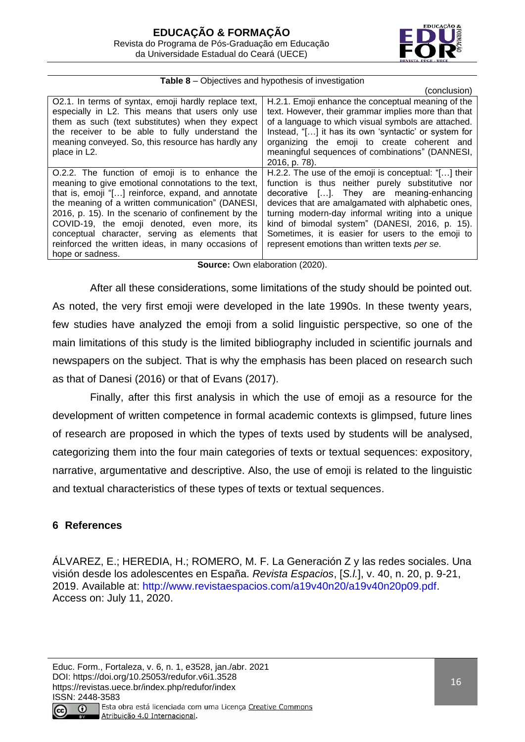

| <b>Table 8</b> – Objectives and hypothesis of investigation |  |  |
|-------------------------------------------------------------|--|--|
|-------------------------------------------------------------|--|--|

|                                                      | (conclusion)                                          |
|------------------------------------------------------|-------------------------------------------------------|
| O2.1. In terms of syntax, emoji hardly replace text, | H.2.1. Emoji enhance the conceptual meaning of the    |
| especially in L2. This means that users only use     | text. However, their grammar implies more than that   |
| them as such (text substitutes) when they expect     | of a language to which visual symbols are attached.   |
| the receiver to be able to fully understand the      | Instead, "[] it has its own 'syntactic' or system for |
| meaning conveyed. So, this resource has hardly any   | organizing the emoji to create coherent and           |
| place in L2.                                         | meaningful sequences of combinations" (DANNESI,       |
|                                                      | 2016, p. 78).                                         |
| O.2.2. The function of emoji is to enhance the       | H.2.2. The use of the emoji is conceptual: "[] their  |
| meaning to give emotional connotations to the text,  | function is thus neither purely substitutive nor      |
| that is, emoji "[] reinforce, expand, and annotate   | decorative []. They are meaning-enhancing             |
| the meaning of a written communication" (DANESI,     | devices that are amalgamated with alphabetic ones,    |
| 2016, p. 15). In the scenario of confinement by the  | turning modern-day informal writing into a unique     |
| COVID-19, the emoji denoted, even more, its          | kind of bimodal system" (DANESI, 2016, p. 15).        |
| conceptual character, serving as elements that       | Sometimes, it is easier for users to the emoji to     |
| reinforced the written ideas, in many occasions of   | represent emotions than written texts per se.         |
| hope or sadness.                                     |                                                       |

#### **Source:** Own elaboration (2020).

After all these considerations, some limitations of the study should be pointed out. As noted, the very first emoji were developed in the late 1990s. In these twenty years, few studies have analyzed the emoji from a solid linguistic perspective, so one of the main limitations of this study is the limited bibliography included in scientific journals and newspapers on the subject. That is why the emphasis has been placed on research such as that of Danesi (2016) or that of Evans (2017).

Finally, after this first analysis in which the use of emoji as a resource for the development of written competence in formal academic contexts is glimpsed, future lines of research are proposed in which the types of texts used by students will be analysed, categorizing them into the four main categories of texts or textual sequences: expository, narrative, argumentative and descriptive. Also, the use of emoji is related to the linguistic and textual characteristics of these types of texts or textual sequences.

# **6 References**

ÁLVAREZ, E.; HEREDIA, H.; ROMERO, M. F. La Generación Z y las redes sociales. Una visión desde los adolescentes en España. *Revista Espacios*, [*S.l.*], v. 40, n. 20, p. 9-21, 2019. Available at: [http://www.revistaespacios.com/a19v40n20/a19v40n20p09.pdf.](http://www.revistaespacios.com/a19v40n20/a19v40n20p09.pdf) Access on: July 11, 2020.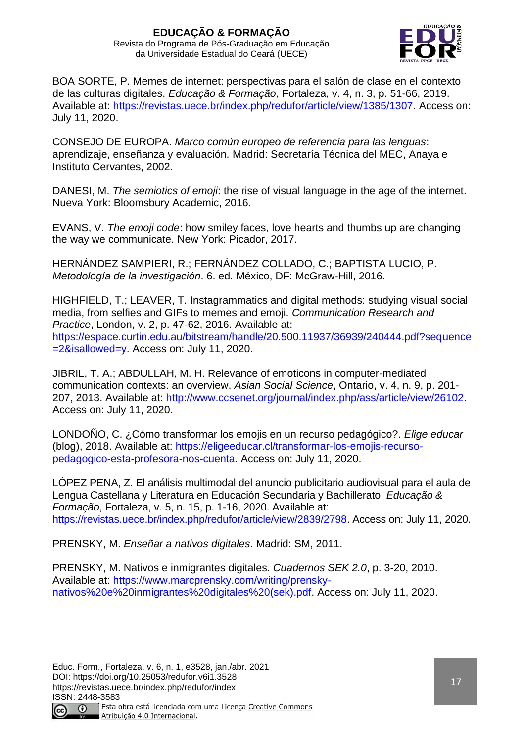

BOA SORTE, P. Memes de internet: perspectivas para el salón de clase en el contexto de las culturas digitales. *Educação & Formação*, Fortaleza, v. 4, n. 3, p. 51-66, 2019. Available at: [https://revistas.uece.br/index.php/redufor/article/view/1385/1307.](https://revistas.uece.br/index.php/redufor/article/view/1385/1307) Access on: July 11, 2020.

CONSEJO DE EUROPA. *Marco común europeo de referencia para las lenguas*: aprendizaje, enseñanza y evaluación. Madrid: Secretaría Técnica del MEC, Anaya e Instituto Cervantes, 2002.

DANESI, M. *The semiotics of emoji*: the rise of visual language in the age of the internet. Nueva York: Bloomsbury Academic, 2016.

EVANS, V. *The emoji code*: how smiley faces, love hearts and thumbs up are changing the way we communicate. New York: Picador, 2017.

HERNÁNDEZ SAMPIERI, R.; FERNÁNDEZ COLLADO, C.; BAPTISTA LUCIO, P. *Metodología de la investigación*. 6. ed. México, DF: McGraw-Hill, 2016.

HIGHFIELD, T.; LEAVER, T. Instagrammatics and digital methods: studying visual social media, from selfies and GIFs to memes and emoji. *Communication Research and Practice*, London, v. 2, p. 47-62, 2016. Available at: [https://espace.curtin.edu.au/bitstream/handle/20.500.11937/36939/240444.pdf?sequence](https://espace.curtin.edu.au/bitstream/handle/20.500.11937/36939/240444.pdf?sequence=2&isallowed=y) [=2&isallowed=y.](https://espace.curtin.edu.au/bitstream/handle/20.500.11937/36939/240444.pdf?sequence=2&isallowed=y) Access on: July 11, 2020.

JIBRIL, T. A.; ABDULLAH, M. H. Relevance of emoticons in computer-mediated communication contexts: an overview. *Asian Social Science*, Ontario, v. 4, n. 9, p. 201- 207, 2013. Available at: [http://www.ccsenet.org/journal/index.php/ass/article/view/26102.](http://www.ccsenet.org/journal/index.php/ass/article/view/26102) Access on: July 11, 2020.

LONDOÑO, C. ¿Cómo transformar los emojis en un recurso pedagógico?. *Elige educar* (blog), 2018. Available at: [https://eligeeducar.cl/transformar-los-emojis-recurso](https://eligeeducar.cl/transformar-los-emojis-recurso-pedagogico-esta-profesora-nos-cuenta)[pedagogico-esta-profesora-nos-cuenta.](https://eligeeducar.cl/transformar-los-emojis-recurso-pedagogico-esta-profesora-nos-cuenta) Access on: July 11, 2020.

LÓPEZ PENA, Z. El análisis multimodal del anuncio publicitario audiovisual para el aula de Lengua Castellana y Literatura en Educación Secundaria y Bachillerato. *Educação & Formação*, Fortaleza, v. 5, n. 15, p. 1-16, 2020. Available at: [https://revistas.uece.br/index.php/redufor/article/view/2839/2798.](https://revistas.uece.br/index.php/redufor/article/view/2839/2798) Access on: July 11, 2020.

PRENSKY, M. *Enseñar a nativos digitales*. Madrid: SM, 2011.

PRENSKY, M. Nativos e inmigrantes digitales. *Cuadernos SEK 2.0*, p. 3-20, 2010. Available at: [https://www.marcprensky.com/writing/prensky](https://www.marcprensky.com/writing/prensky-nativos%20e%20inmigrantes%20digitales%20(sek).pdf)[nativos%20e%20inmigrantes%20digitales%20\(sek\).pdf.](https://www.marcprensky.com/writing/prensky-nativos%20e%20inmigrantes%20digitales%20(sek).pdf) Access on: July 11, 2020.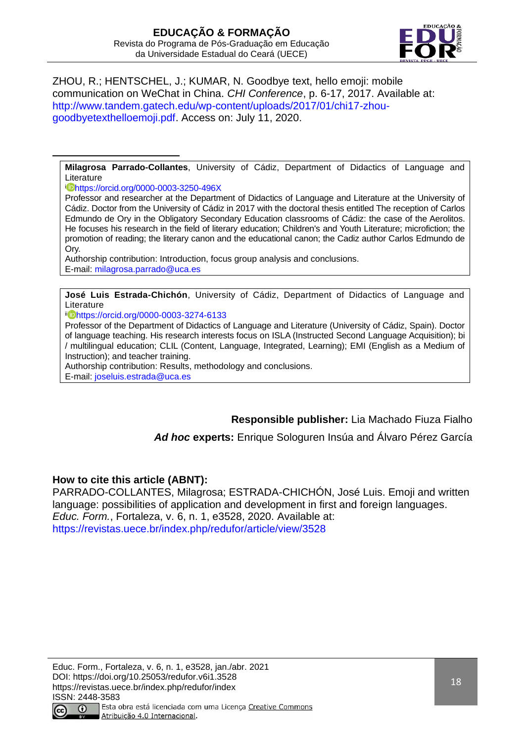

ZHOU, R.; HENTSCHEL, J.; KUMAR, N. Goodbye text, hello emoji: mobile communication on WeChat in China. *CHI Conference*, p. 6-17, 2017. Available at: [http://www.tandem.gatech.edu/wp-content/uploads/2017/01/chi17-zhou](http://www.tandem.gatech.edu/wp-content/uploads/2017/01/chi17-zhou-goodbyetexthelloemoji.pdf)[goodbyetexthelloemoji.pdf.](http://www.tandem.gatech.edu/wp-content/uploads/2017/01/chi17-zhou-goodbyetexthelloemoji.pdf) Access on: July 11, 2020.

**Milagrosa Parrado-Collantes**, University of Cádiz, Department of Didactics of Language and **Literature** 

<sup>i</sup> <https://orcid.org/0000-0003-3250-496X>

Professor and researcher at the Department of Didactics of Language and Literature at the University of Cádiz. Doctor from the University of Cádiz in 2017 with the doctoral thesis entitled The reception of Carlos Edmundo de Ory in the Obligatory Secondary Education classrooms of Cádiz: the case of the Aerolitos. He focuses his research in the field of literary education; Children's and Youth Literature; microfiction; the promotion of reading; the literary canon and the educational canon; the Cadiz author Carlos Edmundo de Ory.

Authorship contribution: Introduction, focus group analysis and conclusions. E-mail: [milagrosa.parrado@uca.es](mailto:milagrosa.parrado@uca.es)

**José Luis Estrada-Chichón**, University of Cádiz, Department of Didactics of Language and Literature

ii <https://orcid.org/0000-0003-3274-6133>

Professor of the Department of Didactics of Language and Literature (University of Cádiz, Spain). Doctor of language teaching. His research interests focus on ISLA (Instructed Second Language Acquisition); bi / multilingual education; CLIL (Content, Language, Integrated, Learning); EMI (English as a Medium of Instruction); and teacher training.

Authorship contribution: Results, methodology and conclusions.

E-mail: [joseluis.estrada@uca.es](mailto:joseluis.estrada@uca.es)

**Responsible publisher:** Lia Machado Fiuza Fialho

*Ad hoc* **experts:** Enrique Sologuren Insúa and Álvaro Pérez García

# **How to cite this article (ABNT):**

PARRADO-COLLANTES, Milagrosa; ESTRADA-CHICHON, José Luis. Emoji and written language: possibilities of application and development in first and foreign languages. *Educ. Form.*, Fortaleza, v. 6, n. 1, e3528, 2020. Available at: <https://revistas.uece.br/index.php/redufor/article/view/3528>